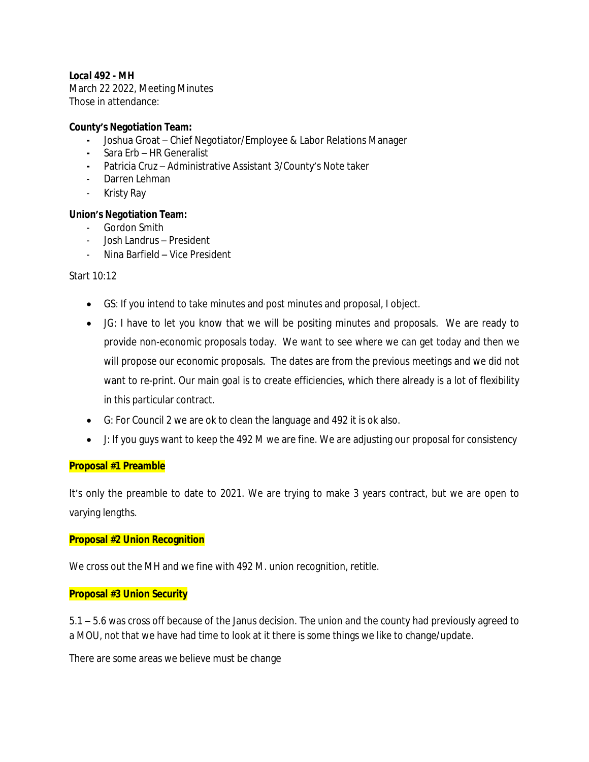# *Local 492 - MH*

March 22 2022, Meeting Minutes Those in attendance:

#### **County's Negotiation Team:**

- **-** Joshua Groat Chief Negotiator/Employee & Labor Relations Manager
- **-** Sara Erb HR Generalist
- **-** Patricia Cruz Administrative Assistant 3/County's Note taker
- Darren Lehman
- Kristy Ray

### **Union's Negotiation Team:**

- Gordon Smith
- Josh Landrus President
- Nina Barfield Vice President

#### Start 10:12

- GS: If you intend to take minutes and post minutes and proposal, I object.
- JG: I have to let you know that we will be positing minutes and proposals. We are ready to provide non-economic proposals today. We want to see where we can get today and then we will propose our economic proposals. The dates are from the previous meetings and we did not want to re-print. Our main goal is to create efficiencies, which there already is a lot of flexibility in this particular contract.
- G: For Council 2 we are ok to clean the language and 492 it is ok also.
- J: If you guys want to keep the 492 M we are fine. We are adjusting our proposal for consistency

#### **Proposal #1 Preamble**

It's only the preamble to date to 2021. We are trying to make 3 years contract, but we are open to varying lengths.

### **Proposal #2 Union Recognition**

We cross out the MH and we fine with 492 M. union recognition, retitle.

### **Proposal #3 Union Security**

5.1 – 5.6 was cross off because of the Janus decision. The union and the county had previously agreed to a MOU, not that we have had time to look at it there is some things we like to change/update.

There are some areas we believe must be change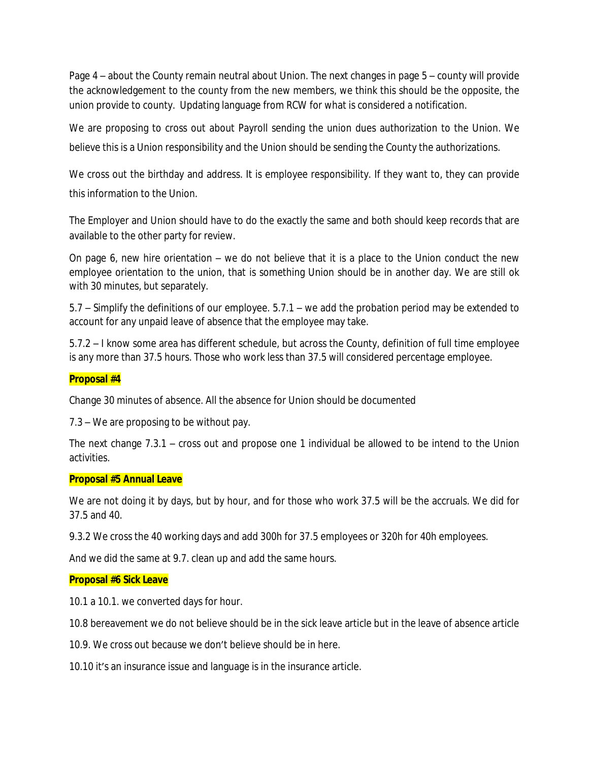Page 4 – about the County remain neutral about Union. The next changes in page 5 – county will provide the acknowledgement to the county from the new members, we think this should be the opposite, the union provide to county. Updating language from RCW for what is considered a notification.

We are proposing to cross out about Payroll sending the union dues authorization to the Union. We believe this is a Union responsibility and the Union should be sending the County the authorizations.

We cross out the birthday and address. It is employee responsibility. If they want to, they can provide this information to the Union.

The Employer and Union should have to do the exactly the same and both should keep records that are available to the other party for review.

On page 6, new hire orientation – we do not believe that it is a place to the Union conduct the new employee orientation to the union, that is something Union should be in another day. We are still ok with 30 minutes, but separately.

5.7 – Simplify the definitions of our employee. 5.7.1 – we add the probation period may be extended to account for any unpaid leave of absence that the employee may take.

5.7.2 – I know some area has different schedule, but across the County, definition of full time employee is any more than 37.5 hours. Those who work less than 37.5 will considered percentage employee.

## **Proposal #4**

Change 30 minutes of absence. All the absence for Union should be documented

7.3 – We are proposing to be without pay.

The next change 7.3.1 – cross out and propose one 1 individual be allowed to be intend to the Union activities.

### **Proposal #5 Annual Leave**

We are not doing it by days, but by hour, and for those who work 37.5 will be the accruals. We did for 37.5 and 40.

9.3.2 We cross the 40 working days and add 300h for 37.5 employees or 320h for 40h employees.

And we did the same at 9.7. clean up and add the same hours.

### **Proposal #6 Sick Leave**

10.1 a 10.1. we converted days for hour.

10.8 bereavement we do not believe should be in the sick leave article but in the leave of absence article

10.9. We cross out because we don't believe should be in here.

10.10 it's an insurance issue and language is in the insurance article.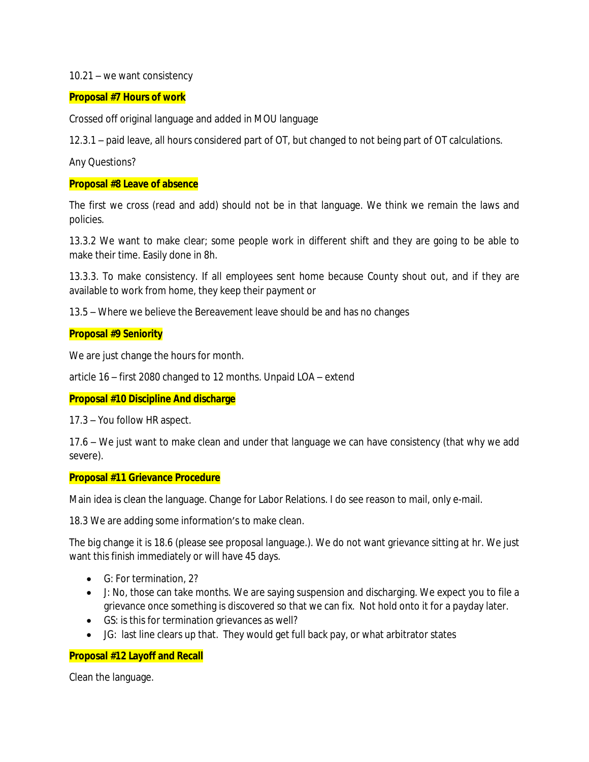#### 10.21 – we want consistency

### **Proposal #7 Hours of work**

Crossed off original language and added in MOU language

12.3.1 – paid leave, all hours considered part of OT, but changed to not being part of OT calculations.

Any Questions?

### **Proposal #8 Leave of absence**

The first we cross (read and add) should not be in that language. We think we remain the laws and policies.

13.3.2 We want to make clear; some people work in different shift and they are going to be able to make their time. Easily done in 8h.

13.3.3. To make consistency. If all employees sent home because County shout out, and if they are available to work from home, they keep their payment or

13.5 – Where we believe the Bereavement leave should be and has no changes

### **Proposal #9 Seniority**

We are just change the hours for month.

article 16 – first 2080 changed to 12 months. Unpaid LOA – extend

# **Proposal #10 Discipline And discharge**

17.3 – You follow HR aspect.

17.6 – We just want to make clean and under that language we can have consistency (that why we add severe).

### **Proposal #11 Grievance Procedure**

Main idea is clean the language. Change for Labor Relations. I do see reason to mail, only e-mail.

18.3 We are adding some information's to make clean.

The big change it is 18.6 (please see proposal language.). We do not want grievance sitting at hr. We just want this finish immediately or will have 45 days.

- G: For termination, 2?
- J: No, those can take months. We are saying suspension and discharging. We expect you to file a grievance once something is discovered so that we can fix. Not hold onto it for a payday later.
- GS: is this for termination grievances as well?
- JG: last line clears up that. They would get full back pay, or what arbitrator states

# **Proposal #12 Layoff and Recall**

Clean the language.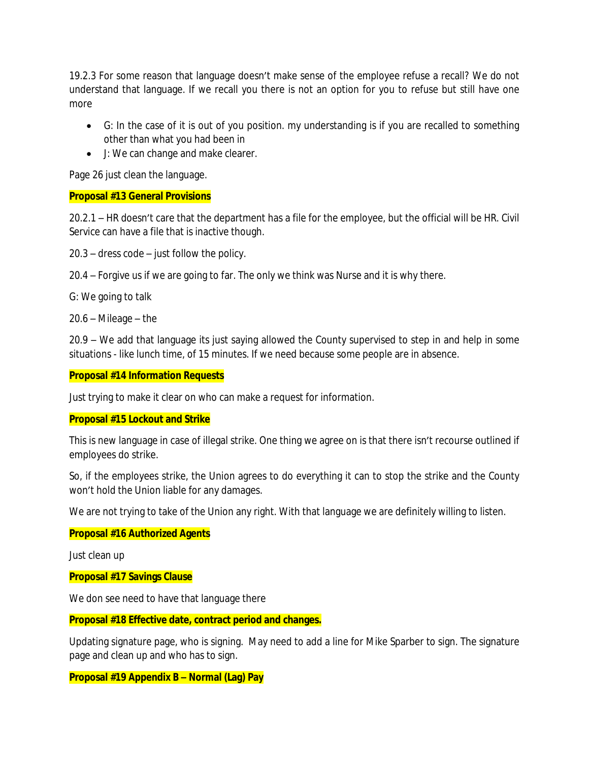19.2.3 For some reason that language doesn't make sense of the employee refuse a recall? We do not understand that language. If we recall you there is not an option for you to refuse but still have one more

- G: In the case of it is out of you position. my understanding is if you are recalled to something other than what you had been in
- J: We can change and make clearer.

Page 26 just clean the language.

## **Proposal #13 General Provisions**

20.2.1 – HR doesn't care that the department has a file for the employee, but the official will be HR. Civil Service can have a file that is inactive though.

20.3 – dress code – just follow the policy.

20.4 – Forgive us if we are going to far. The only we think was Nurse and it is why there.

G: We going to talk

20.6 – Mileage – the

20.9 – We add that language its just saying allowed the County supervised to step in and help in some situations - like lunch time, of 15 minutes. If we need because some people are in absence.

## **Proposal #14 Information Requests**

Just trying to make it clear on who can make a request for information.

### **Proposal #15 Lockout and Strike**

This is new language in case of illegal strike. One thing we agree on is that there isn't recourse outlined if employees do strike.

So, if the employees strike, the Union agrees to do everything it can to stop the strike and the County won't hold the Union liable for any damages.

We are not trying to take of the Union any right. With that language we are definitely willing to listen.

### **Proposal #16 Authorized Agents**

Just clean up

### **Proposal #17 Savings Clause**

We don see need to have that language there

### **Proposal #18 Effective date, contract period and changes.**

Updating signature page, who is signing. May need to add a line for Mike Sparber to sign. The signature page and clean up and who has to sign.

## **Proposal #19 Appendix B – Normal (Lag) Pay**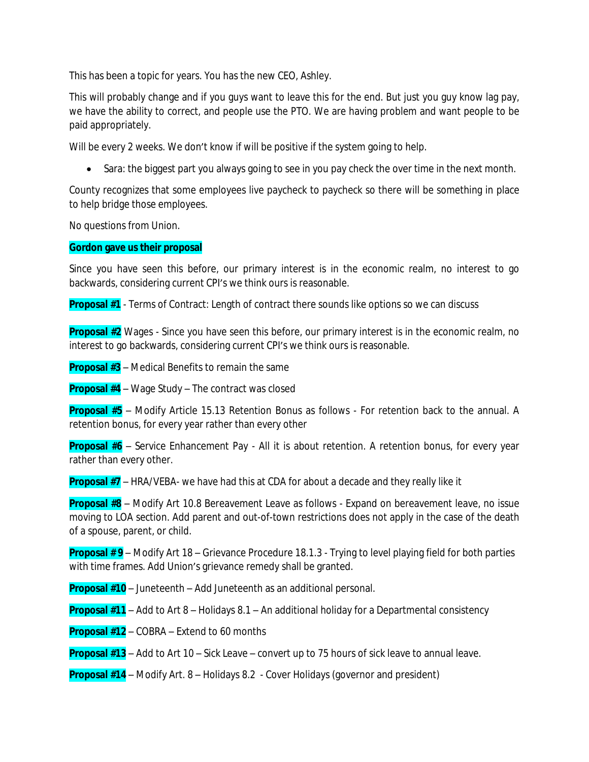This has been a topic for years. You has the new CEO, Ashley.

This will probably change and if you guys want to leave this for the end. But just you guy know lag pay, we have the ability to correct, and people use the PTO. We are having problem and want people to be paid appropriately.

Will be every 2 weeks. We don't know if will be positive if the system going to help.

• Sara: the biggest part you always going to see in you pay check the over time in the next month.

County recognizes that some employees live paycheck to paycheck so there will be something in place to help bridge those employees.

No questions from Union.

## **Gordon gave us their proposal**

Since you have seen this before, our primary interest is in the economic realm, no interest to go backwards, considering current CPI's we think ours is reasonable.

**Proposal #1** - Terms of Contract: Length of contract there sounds like options so we can discuss

**Proposal #2** Wages - Since you have seen this before, our primary interest is in the economic realm, no interest to go backwards, considering current CPI's we think ours is reasonable.

**Proposal #3** – Medical Benefits to remain the same

**Proposal #4** – Wage Study – The contract was closed

**Proposal #5** – Modify Article 15.13 Retention Bonus as follows - For retention back to the annual. A retention bonus, for every year rather than every other

**Proposal #6** – Service Enhancement Pay - All it is about retention. A retention bonus, for every year rather than every other.

**Proposal #7** – HRA/VEBA- we have had this at CDA for about a decade and they really like it

**Proposal #8** – Modify Art 10.8 Bereavement Leave as follows - Expand on bereavement leave, no issue moving to LOA section. Add parent and out-of-town restrictions does not apply in the case of the death of a spouse, parent, or child.

**Proposal # 9** – Modify Art 18 – Grievance Procedure 18.1.3 - Trying to level playing field for both parties with time frames. Add Union's grievance remedy shall be granted.

**Proposal #10** – Juneteenth – Add Juneteenth as an additional personal.

**Proposal #11** – Add to Art 8 – Holidays 8.1 – An additional holiday for a Departmental consistency

**Proposal #12** – COBRA – Extend to 60 months

**Proposal #13** – Add to Art 10 – Sick Leave – convert up to 75 hours of sick leave to annual leave.

**Proposal #14** – Modify Art. 8 – Holidays 8.2 - Cover Holidays (governor and president)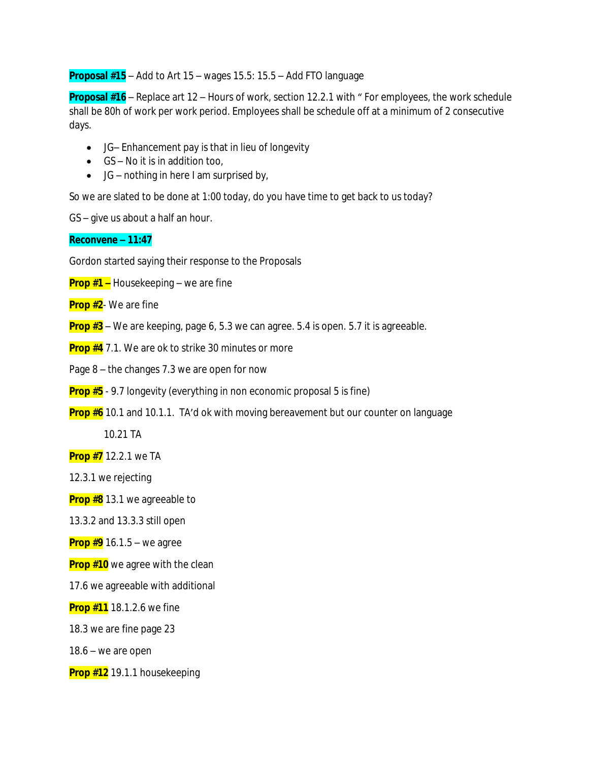## **Proposal #15** – Add to Art 15 – wages 15.5: 15.5 – Add FTO language

**Proposal #16** – Replace art 12 – Hours of work, section 12.2.1 with " For employees, the work schedule shall be 80h of work per work period. Employees shall be schedule off at a minimum of 2 consecutive days.

- JG– Enhancement pay is that in lieu of longevity
- $\bullet$  GS No it is in addition too,
- $\bullet$  JG nothing in here I am surprised by,

So we are slated to be done at 1:00 today, do you have time to get back to us today?

GS – give us about a half an hour.

#### **Reconvene – 11:47**

Gordon started saying their response to the Proposals

- **Prop #1 –** Housekeeping we are fine
- **Prop #2** We are fine
- **Prop #3** We are keeping, page 6, 5.3 we can agree. 5.4 is open. 5.7 it is agreeable.
- **Prop #4** 7.1. We are ok to strike 30 minutes or more
- Page 8 the changes 7.3 we are open for now
- **Prop #5** 9.7 longevity (everything in non economic proposal 5 is fine)
- **Prop #6** 10.1 and 10.1.1. TA'd ok with moving bereavement but our counter on language

10.21 TA

**Prop #7** 12.2.1 we TA

12.3.1 we rejecting

**Prop #8** 13.1 we agreeable to

13.3.2 and 13.3.3 still open

**Prop #9** 16.1.5 – we agree

**Prop #10** we agree with the clean

17.6 we agreeable with additional

**Prop #11** 18.1.2.6 we fine

18.3 we are fine page 23

18.6 – we are open

**Prop #12** 19.1.1 housekeeping